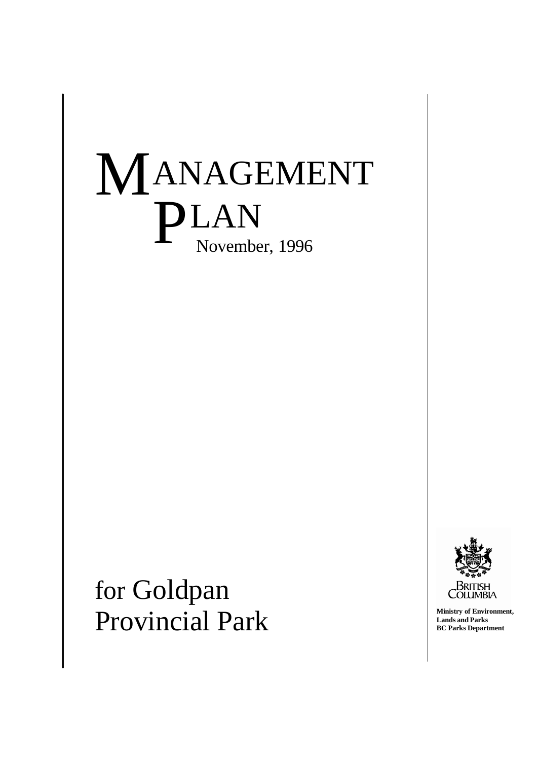# M ANAGEMENT PLAN November, 1996

for Goldpan Provincial Park



**Ministry of Environment, Lands and Parks BC Parks Department**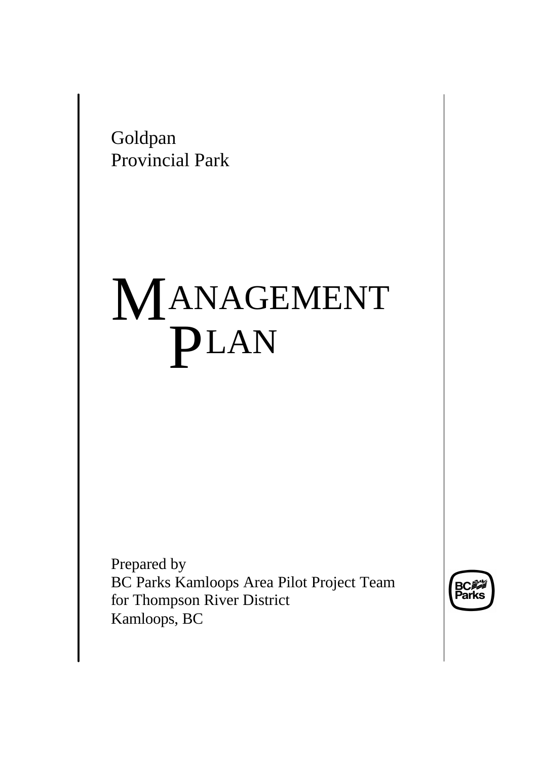Goldpan Provincial Park

# M ANAGEMENT PLAN

Prepared by BC Parks Kamloops Area Pilot Project Team for Thompson River District Kamloops, BC

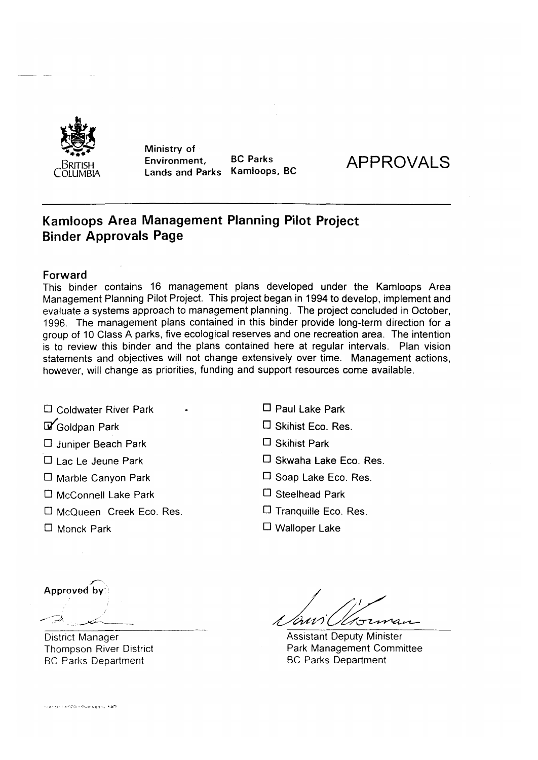

Ministry of **BC Parks** Environment, Kamloops, BC **Lands and Parks** 



# **Kamloops Area Management Planning Pilot Project Binder Approvals Page**

#### Forward

This binder contains 16 management plans developed under the Kamloops Area Management Planning Pilot Project. This project began in 1994 to develop, implement and evaluate a systems approach to management planning. The project concluded in October, 1996. The management plans contained in this binder provide long-term direction for a group of 10 Class A parks, five ecological reserves and one recreation area. The intention is to review this binder and the plans contained here at regular intervals. Plan vision statements and objectives will not change extensively over time. Management actions, however, will change as priorities, funding and support resources come available.

- □ Coldwater River Park
- Goldpan Park
- □ Juniper Beach Park
- $\Box$  I ac Le Jeune Park
- □ Marble Canyon Park
- $\Box$  McConnell Lake Park
- □ McQueen Creek Eco. Res.
- $\Box$  Paul Lake Park □ Skihist Eco. Res.
- $\square$  Skihist Park
- □ Skwaha Lake Eco. Res.
- $\Box$  Soap Lake Eco, Res.
- $\Box$  Steelhead Park
- $\Box$  Tranguille Eco. Res.
- $\Box$  Walloper Lake

□ Monck Park

Approved by

**District Manager Thompson River District BC Parks Department** 

 $\oslash$ bounan

**Assistant Deputy Minister** Park Management Committee **BC Parks Department**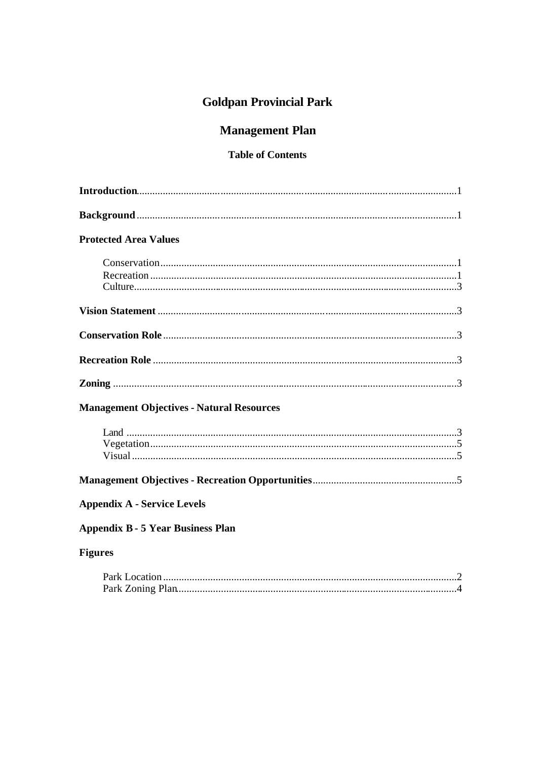# **Goldpan Provincial Park**

# **Management Plan**

# **Table of Contents**

## **Protected Area Values**

| <b>Management Objectives - Natural Resources</b> |  |
|--------------------------------------------------|--|
|                                                  |  |
|                                                  |  |
|                                                  |  |
|                                                  |  |
| <b>Appendix A - Service Levels</b>               |  |
| <b>Appendix B - 5 Year Business Plan</b>         |  |
| <b>Figures</b>                                   |  |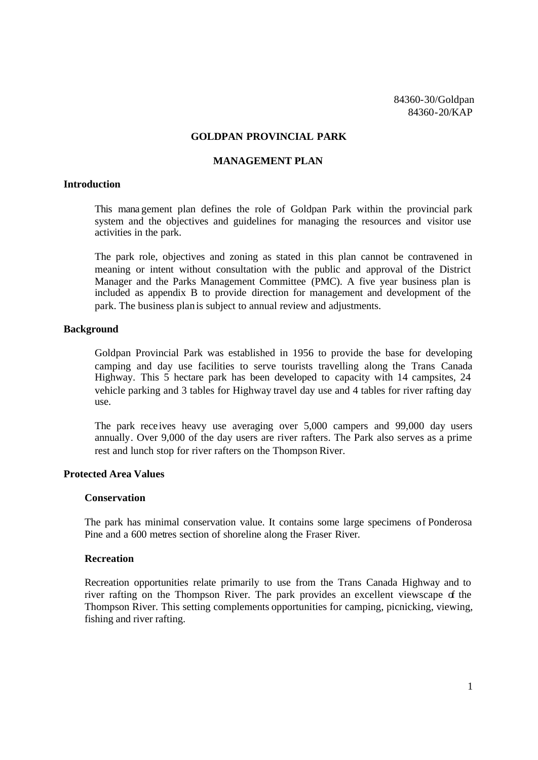#### **GOLDPAN PROVINCIAL PARK**

#### **MANAGEMENT PLAN**

#### **Introduction**

This mana gement plan defines the role of Goldpan Park within the provincial park system and the objectives and guidelines for managing the resources and visitor use activities in the park.

The park role, objectives and zoning as stated in this plan cannot be contravened in meaning or intent without consultation with the public and approval of the District Manager and the Parks Management Committee (PMC). A five year business plan is included as appendix B to provide direction for management and development of the park. The business plan is subject to annual review and adjustments.

#### **Background**

Goldpan Provincial Park was established in 1956 to provide the base for developing camping and day use facilities to serve tourists travelling along the Trans Canada Highway. This 5 hectare park has been developed to capacity with 14 campsites, 24 vehicle parking and 3 tables for Highway travel day use and 4 tables for river rafting day use.

The park receives heavy use averaging over 5,000 campers and 99,000 day users annually. Over 9,000 of the day users are river rafters. The Park also serves as a prime rest and lunch stop for river rafters on the Thompson River.

#### **Protected Area Values**

#### **Conservation**

The park has minimal conservation value. It contains some large specimens of Ponderosa Pine and a 600 metres section of shoreline along the Fraser River.

#### **Recreation**

Recreation opportunities relate primarily to use from the Trans Canada Highway and to river rafting on the Thompson River. The park provides an excellent viewscape of the Thompson River. This setting complements opportunities for camping, picnicking, viewing, fishing and river rafting.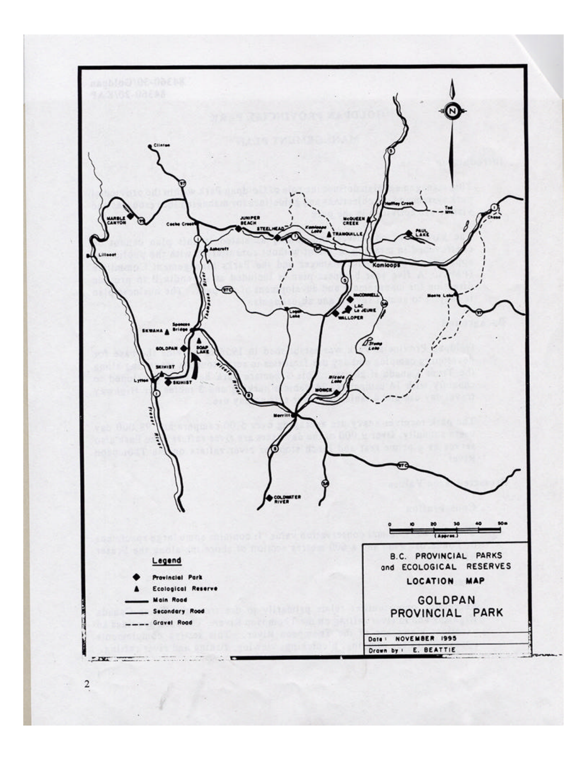

 $\mathbf 2$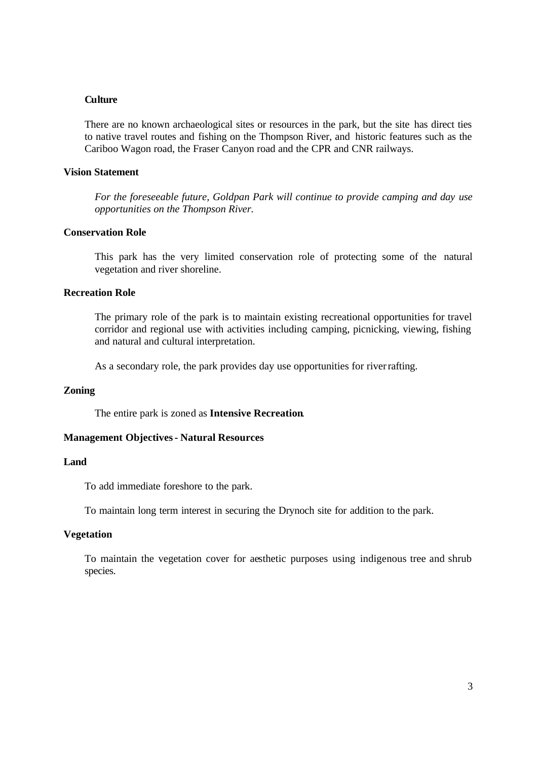#### **Culture**

There are no known archaeological sites or resources in the park, but the site has direct ties to native travel routes and fishing on the Thompson River, and historic features such as the Cariboo Wagon road, the Fraser Canyon road and the CPR and CNR railways.

#### **Vision Statement**

*For the foreseeable future, Goldpan Park will continue to provide camping and day use opportunities on the Thompson River.*

#### **Conservation Role**

This park has the very limited conservation role of protecting some of the natural vegetation and river shoreline.

#### **Recreation Role**

The primary role of the park is to maintain existing recreational opportunities for travel corridor and regional use with activities including camping, picnicking, viewing, fishing and natural and cultural interpretation.

As a secondary role, the park provides day use opportunities for riverrafting.

#### **Zoning**

The entire park is zoned as **Intensive Recreation**.

#### **Management Objectives - Natural Resources**

#### **Land**

To add immediate foreshore to the park.

To maintain long term interest in securing the Drynoch site for addition to the park.

#### **Vegetation**

To maintain the vegetation cover for aesthetic purposes using indigenous tree and shrub species.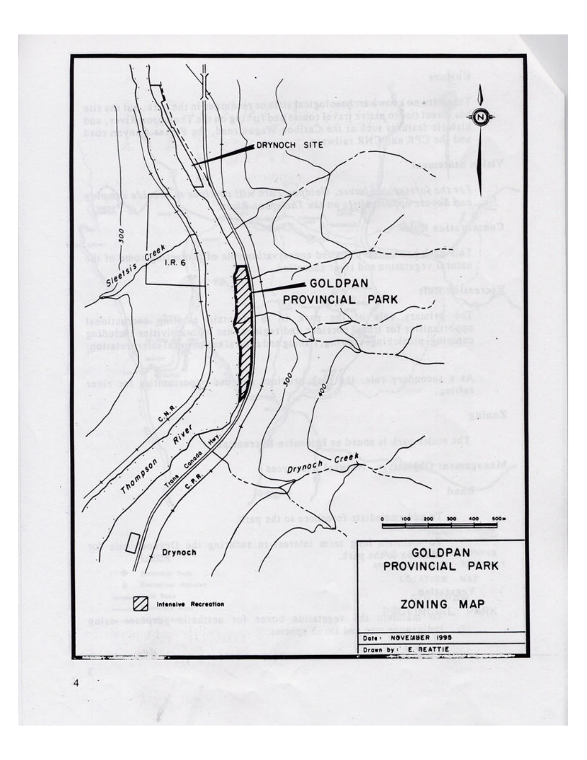

 $\overline{4}$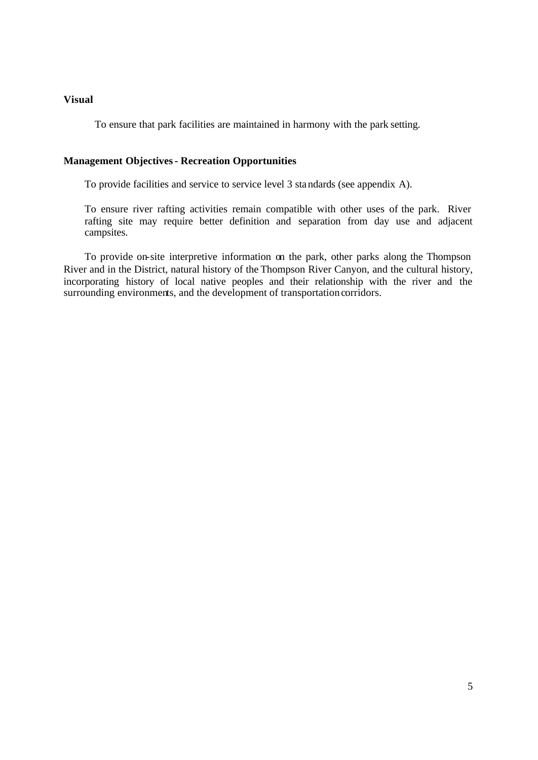#### **Visual**

To ensure that park facilities are maintained in harmony with the park setting.

#### **Management Objectives - Recreation Opportunities**

To provide facilities and service to service level 3 standards (see appendix A).

To ensure river rafting activities remain compatible with other uses of the park. River rafting site may require better definition and separation from day use and adjacent campsites.

To provide on-site interpretive information on the park, other parks along the Thompson River and in the District, natural history of the Thompson River Canyon, and the cultural history, incorporating history of local native peoples and their relationship with the river and the surrounding environments, and the development of transportation corridors.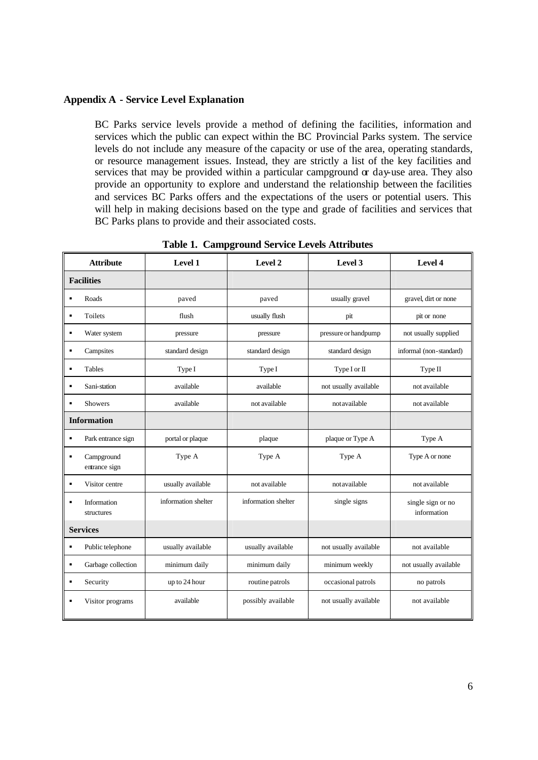#### **Appendix A - Service Level Explanation**

BC Parks service levels provide a method of defining the facilities, information and services which the public can expect within the BC Provincial Parks system. The service levels do not include any measure of the capacity or use of the area, operating standards, or resource management issues. Instead, they are strictly a list of the key facilities and services that may be provided within a particular campground  $\alpha$  day-use area. They also provide an opportunity to explore and understand the relationship between the facilities and services BC Parks offers and the expectations of the users or potential users. This will help in making decisions based on the type and grade of facilities and services that BC Parks plans to provide and their associated costs.

| <b>Attribute</b>                              | Level 1             | Level 2             | Level 3               | Level 4                          |
|-----------------------------------------------|---------------------|---------------------|-----------------------|----------------------------------|
| <b>Facilities</b>                             |                     |                     |                       |                                  |
| Roads<br>$\blacksquare$                       | paved               | paved               | usually gravel        | gravel, dirt or none             |
| Toilets<br>$\blacksquare$                     | flush               | usually flush       | pit                   | pit or none                      |
| Water system<br>$\blacksquare$                | pressure            | pressure            | pressure or handpump  | not usually supplied             |
| Campsites<br>$\blacksquare$                   | standard design     | standard design     | standard design       | informal (non-standard)          |
| $\blacksquare$<br>Tables                      | Type I              | Type I              | Type I or II          | Type II                          |
| Sani-station<br>$\blacksquare$                | available           | available           | not usually available | not available                    |
| $\blacksquare$<br><b>Showers</b>              | available           | not available       | notavailable          | not available                    |
| <b>Information</b>                            |                     |                     |                       |                                  |
| Park entrance sign<br>٠                       | portal or plaque    | plaque              | plaque or Type A      | Type A                           |
| Campground<br>$\blacksquare$<br>entrance sign | Type A              | Type A              | Type A                | Type A or none                   |
| Visitor centre<br>$\blacksquare$              | usually available   | not available       | notavailable          | not available                    |
| Information<br>$\blacksquare$<br>structures   | information shelter | information shelter | single signs          | single sign or no<br>information |
| <b>Services</b>                               |                     |                     |                       |                                  |
| Public telephone<br>٠                         | usually available   | usually available   | not usually available | not available                    |
| Garbage collection<br>$\blacksquare$          | minimum daily       | minimum daily       | minimum weekly        | not usually available            |
| Security<br>$\blacksquare$                    | up to 24 hour       | routine patrols     | occasional patrols    | no patrols                       |
| Visitor programs<br>п                         | available           | possibly available  | not usually available | not available                    |

**Table 1. Campground Service Levels Attributes**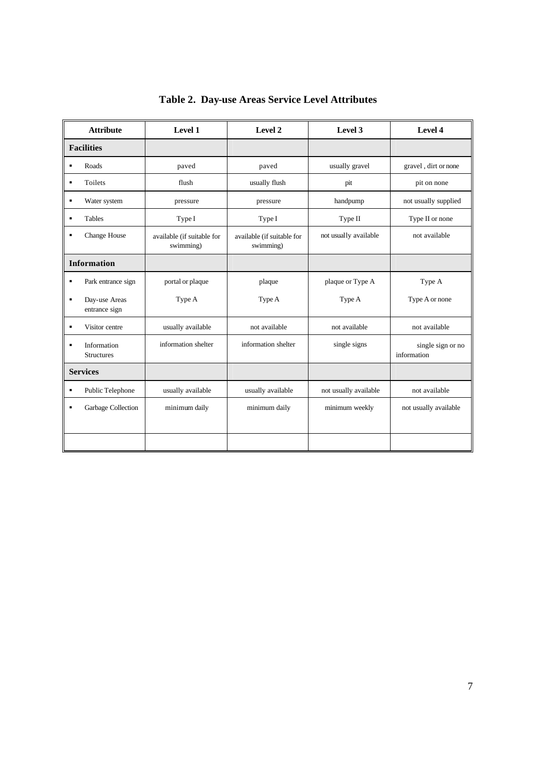| <b>Attribute</b>                                 | Level 1                                 | Level 2                                 | Level 3               | Level 4                          |
|--------------------------------------------------|-----------------------------------------|-----------------------------------------|-----------------------|----------------------------------|
| <b>Facilities</b>                                |                                         |                                         |                       |                                  |
| Roads<br>$\blacksquare$                          | paved                                   | paved                                   | usually gravel        | gravel, dirt or none             |
| Toilets<br>٠                                     | flush                                   | usually flush                           | pit                   | pit on none                      |
| ٠<br>Water system                                | pressure                                | pressure                                | handpump              | not usually supplied             |
| Tables<br>$\blacksquare$                         | Type I                                  | Type I                                  | Type II               | Type II or none                  |
| Change House<br>$\blacksquare$                   | available (if suitable for<br>swimming) | available (if suitable for<br>swimming) | not usually available | not available                    |
| <b>Information</b>                               |                                         |                                         |                       |                                  |
| Park entrance sign<br>$\blacksquare$             | portal or plaque                        | plaque                                  | plaque or Type A      | Type A                           |
| Day-use Areas<br>$\blacksquare$<br>entrance sign | Type A                                  | Type A                                  | Type A                | Type A or none                   |
| Visitor centre<br>$\blacksquare$                 | usually available                       | not available                           | not available         | not available                    |
| Information<br>٠<br>Structures                   | information shelter                     | information shelter                     | single signs          | single sign or no<br>information |
| <b>Services</b>                                  |                                         |                                         |                       |                                  |
| Public Telephone<br>٠                            | usually available                       | usually available                       | not usually available | not available                    |
| Garbage Collection<br>$\blacksquare$             | minimum daily                           | minimum daily                           | minimum weekly        | not usually available            |
|                                                  |                                         |                                         |                       |                                  |

**Table 2. Day-use Areas Service Level Attributes**